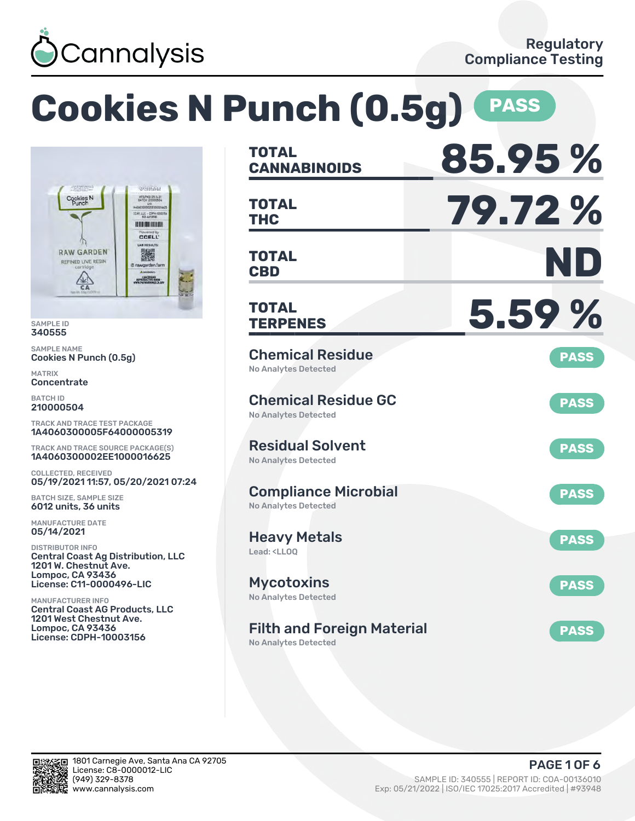

#### **Cookies N Punch (0.5g) PASS CANNABINOIDS 85.95 % TOTAL** William MFD PKD 05.14.21 **THC 79.72 % TOTAL** LLC - COPH *HISTORICALLY* **CCELL ARRE CBD ND RAW GARDEN** 攤 **TOTAL** REFINED LIVE RESIN AUPRODUCTIVE HAR **TERPENES 5.59 % TOTAL** Chemical Residue Cookies N Punch (0.5g) **PASS** No Analytes Detected Chemical Residue GC **PASS** No Analytes Detected TRACK AND TRACE TEST PACKAGE 1A4060300005F64000005319 Residual Solvent TRACK AND TRACE SOURCE PACKAGE(S) **PASS** 1A4060300002EE1000016625 No Analytes Detected COLLECTED, RECEIVED 05/19/2021 11:57, 05/20/2021 07:24 Compliance Microbial **PASS** BATCH SIZE, SAMPLE SIZE 6012 units, 36 units No Analytes Detected MANUFACTURE DATE Heavy Metals **PASS** Lead: <LLOQ Central Coast Ag Distribution, LLC 1201 W. Chestnut Ave. Lompoc, CA 93436 License: C11-0000496-LIC Mycotoxins **PASS** No Analytes Detected MANUFACTURER INFO Central Coast AG Products, LLC 1201 West Chestnut Ave. Lompoc, CA 93436 Filth and Foreign Material **PASS** License: CDPH-10003156 No Analytes Detected



SAMPLE ID 340555 SAMPLE NAME

Cookies N<br>Punch

 $\frac{\sqrt{2}}{C_A}$ 

MATRIX **Concentrate** BATCH ID 210000504

05/14/2021 DISTRIBUTOR INFO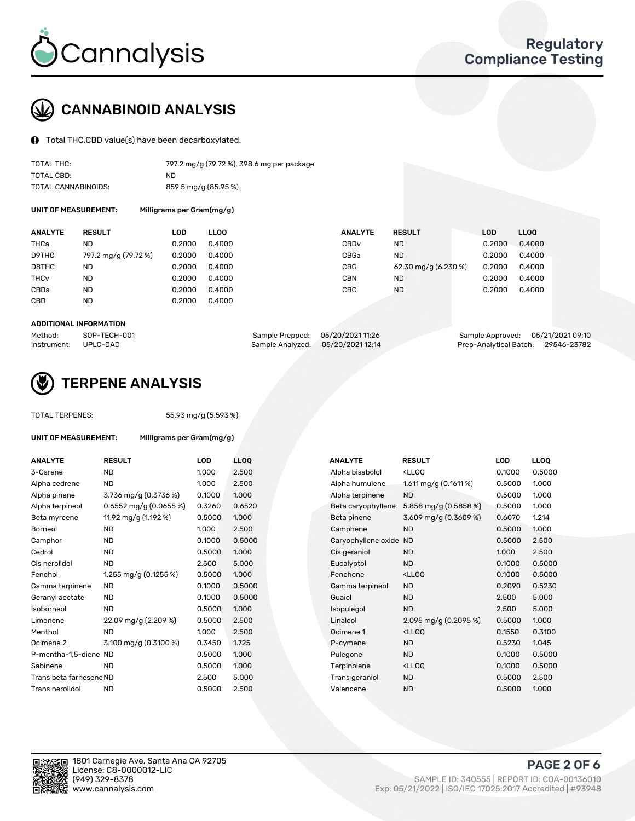

# CANNABINOID ANALYSIS

Total THC,CBD value(s) have been decarboxylated.

| TOTAL THC:          | 797.2 mg/g (79.72 %), 398.6 mg per package |
|---------------------|--------------------------------------------|
| TOTAL CBD:          | ND.                                        |
| TOTAL CANNABINOIDS: | 859.5 mg/g (85.95 %)                       |

UNIT OF MEASUREMENT: Milligrams per Gram(mg/g)

| <b>RESULT</b>        | LOD    | <b>LLOO</b> | <b>ANALYTE</b>   |           | LOD                                   | <b>LLOO</b> |
|----------------------|--------|-------------|------------------|-----------|---------------------------------------|-------------|
| ND                   | 0.2000 | 0.4000      | CBD <sub>v</sub> | <b>ND</b> | 0.2000                                | 0.4000      |
| 797.2 mg/g (79.72 %) | 0.2000 | 0.4000      | CBGa             | <b>ND</b> | 0.2000                                | 0.4000      |
| <b>ND</b>            | 0.2000 | 0.4000      | <b>CBG</b>       |           | 0.2000                                | 0.4000      |
| ND                   | 0.2000 | 0.4000      | <b>CBN</b>       | <b>ND</b> | 0.2000                                | 0.4000      |
| ND                   | 0.2000 | 0.4000      | CBC              | <b>ND</b> | 0.2000                                | 0.4000      |
| <b>ND</b>            | 0.2000 | 0.4000      |                  |           |                                       |             |
|                      |        |             |                  |           | <b>RESULT</b><br>62.30 mg/g (6.230 %) |             |

#### ADDITIONAL INFORMATION

| Method:              | SOP-TECH-001 | Sample Prepped: 05/20/2021 11:26  | Sample Approved: 05/21/2021 09:10  |  |
|----------------------|--------------|-----------------------------------|------------------------------------|--|
| Instrument: UPLC-DAD |              | Sample Analyzed: 05/20/2021 12:14 | Prep-Analytical Batch: 29546-23782 |  |



## TERPENE ANALYSIS

UNIT OF MEASUREMENT: Milligrams per Gram(mg/g)

| TUTAL TERPENES: |  |
|-----------------|--|
|                 |  |

AL TERPENES: 55.93 mg/g (5.593 %)

| <b>ANALYTE</b>          | <b>RESULT</b>              | <b>LOD</b> | <b>LLOQ</b> |  | <b>ANALYTE</b>         | <b>RESULT</b>                                       | <b>LOD</b> | <b>LLOQ</b> |
|-------------------------|----------------------------|------------|-------------|--|------------------------|-----------------------------------------------------|------------|-------------|
| 3-Carene                | <b>ND</b>                  | 1.000      | 2.500       |  | Alpha bisabolol        | <lloq< td=""><td>0.1000</td><td>0.5000</td></lloq<> | 0.1000     | 0.5000      |
| Alpha cedrene           | <b>ND</b>                  | 1.000      | 2.500       |  | Alpha humulene         | 1.611 mg/g $(0.1611%)$                              | 0.5000     | 1.000       |
| Alpha pinene            | 3.736 mg/g (0.3736 %)      | 0.1000     | 1.000       |  | Alpha terpinene        | <b>ND</b>                                           | 0.5000     | 1.000       |
| Alpha terpineol         | $0.6552$ mg/g $(0.0655\%)$ | 0.3260     | 0.6520      |  | Beta caryophyllene     | 5.858 mg/g $(0.5858\%)$                             | 0.5000     | 1.000       |
| Beta myrcene            | 11.92 mg/g (1.192 %)       | 0.5000     | 1.000       |  | Beta pinene            | 3.609 mg/g (0.3609 %)                               | 0.6070     | 1.214       |
| Borneol                 | <b>ND</b>                  | 1.000      | 2.500       |  | Camphene               | <b>ND</b>                                           | 0.5000     | 1.000       |
| Camphor                 | <b>ND</b>                  | 0.1000     | 0.5000      |  | Caryophyllene oxide ND |                                                     | 0.5000     | 2.500       |
| Cedrol                  | <b>ND</b>                  | 0.5000     | 1.000       |  | Cis geraniol           | <b>ND</b>                                           | 1.000      | 2.500       |
| Cis nerolidol           | <b>ND</b>                  | 2.500      | 5.000       |  | Eucalyptol             | <b>ND</b>                                           | 0.1000     | 0.5000      |
| Fenchol                 | 1.255 mg/g (0.1255 %)      | 0.5000     | 1.000       |  | Fenchone               | <lloq< td=""><td>0.1000</td><td>0.5000</td></lloq<> | 0.1000     | 0.5000      |
| Gamma terpinene         | <b>ND</b>                  | 0.1000     | 0.5000      |  | Gamma terpineol        | <b>ND</b>                                           | 0.2090     | 0.5230      |
| Geranyl acetate         | <b>ND</b>                  | 0.1000     | 0.5000      |  | Guaiol                 | <b>ND</b>                                           | 2.500      | 5.000       |
| Isoborneol              | <b>ND</b>                  | 0.5000     | 1.000       |  | Isopulegol             | <b>ND</b>                                           | 2.500      | 5.000       |
| Limonene                | 22.09 mg/g (2.209 %)       | 0.5000     | 2.500       |  | Linalool               | 2.095 mg/g $(0.2095\%)$                             | 0.5000     | 1.000       |
| Menthol                 | <b>ND</b>                  | 1.000      | 2.500       |  | Ocimene 1              | <lloq< td=""><td>0.1550</td><td>0.3100</td></lloq<> | 0.1550     | 0.3100      |
| Ocimene 2               | 3.100 mg/g (0.3100 %)      | 0.3450     | 1.725       |  | P-cymene               | <b>ND</b>                                           | 0.5230     | 1.045       |
| P-mentha-1.5-diene ND   |                            | 0.5000     | 1.000       |  | Pulegone               | <b>ND</b>                                           | 0.1000     | 0.5000      |
| Sabinene                | <b>ND</b>                  | 0.5000     | 1.000       |  | Terpinolene            | <lloq< td=""><td>0.1000</td><td>0.5000</td></lloq<> | 0.1000     | 0.5000      |
| Trans beta farnesene ND |                            | 2.500      | 5.000       |  | Trans geraniol         | <b>ND</b>                                           | 0.5000     | 2.500       |
| Trans nerolidol         | <b>ND</b>                  | 0.5000     | 2.500       |  | Valencene              | <b>ND</b>                                           | 0.5000     | 1.000       |

| <b>NALYTE</b>       | <b>RESULT</b>                                       | LOD    | <b>LLOO</b> |
|---------------------|-----------------------------------------------------|--------|-------------|
| Alpha bisabolol     | <lloq< td=""><td>0.1000</td><td>0.5000</td></lloq<> | 0.1000 | 0.5000      |
| Alpha humulene      | 1.611 mg/g $(0.1611%)$                              | 0.5000 | 1.000       |
| Alpha terpinene     | <b>ND</b>                                           | 0.5000 | 1.000       |
| Beta caryophyllene  | 5.858 mg/g (0.5858 %)                               | 0.5000 | 1.000       |
| Beta pinene         | 3.609 mg/g (0.3609 %)                               | 0.6070 | 1.214       |
| Camphene            | <b>ND</b>                                           | 0.5000 | 1.000       |
| Caryophyllene oxide | <b>ND</b>                                           | 0.5000 | 2.500       |
| Cis geraniol        | <b>ND</b>                                           | 1.000  | 2.500       |
| Eucalyptol          | ND.                                                 | 0.1000 | 0.5000      |
| Fenchone            | <lloq< td=""><td>0.1000</td><td>0.5000</td></lloq<> | 0.1000 | 0.5000      |
| Gamma terpineol     | <b>ND</b>                                           | 0.2090 | 0.5230      |
| Guaiol              | <b>ND</b>                                           | 2.500  | 5.000       |
| sopulegol           | <b>ND</b>                                           | 2.500  | 5.000       |
| Linalool            | 2.095 mg/g $(0.2095\%)$                             | 0.5000 | 1.000       |
| Ocimene 1           | $<$ LLOO                                            | 0.1550 | 0.3100      |
| P-cymene            | <b>ND</b>                                           | 0.5230 | 1.045       |
| Pulegone            | <b>ND</b>                                           | 0.1000 | 0.5000      |
| Terpinolene         | <lloq< td=""><td>0.1000</td><td>0.5000</td></lloq<> | 0.1000 | 0.5000      |
| Trans geraniol      | <b>ND</b>                                           | 0.5000 | 2.500       |
| Valencene           | <b>ND</b>                                           | 0.5000 | 1.000       |



PAGE 2 OF 6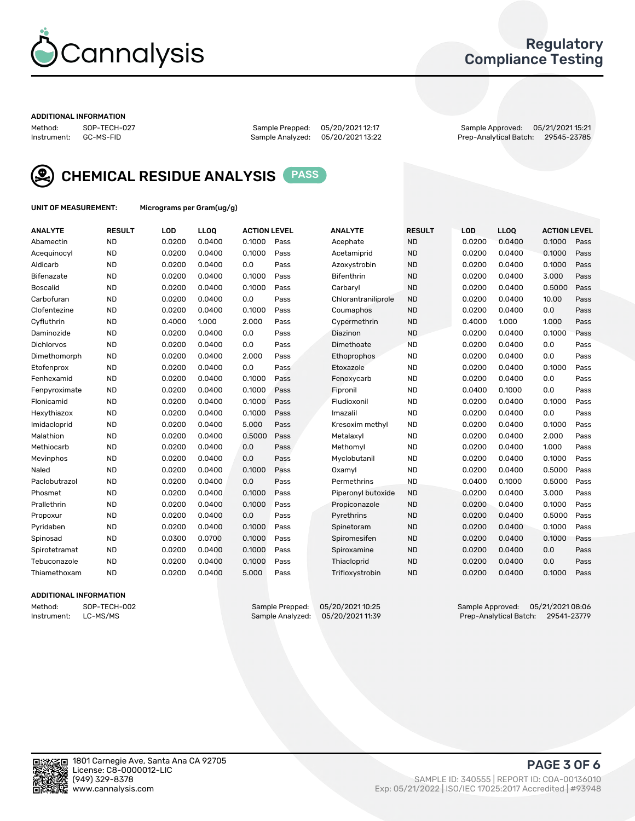

## Regulatory Compliance Testing

#### ADDITIONAL INFORMATION

| Method:     | SOP-TECH-02 |
|-------------|-------------|
| Instrument: | GC-MS-FID   |

Method: SOP-TECH-027 Sample Prepped: 05/20/2021 12:17 Sample Approved: 05/21/2021 15:21 Prep-Analytical Batch: 29545-23785



CHEMICAL RESIDUE ANALYSIS PASS

UNIT OF MEASUREMENT: Micrograms per Gram(ug/g)

| <b>ANALYTE</b>    | <b>RESULT</b> | LOD    | LLOQ   | <b>ACTION LEVEL</b> |      | <b>ANALYTE</b>      | <b>RESULT</b> | <b>LOD</b> | <b>LLOQ</b> | <b>ACTION LEVEL</b> |      |
|-------------------|---------------|--------|--------|---------------------|------|---------------------|---------------|------------|-------------|---------------------|------|
| Abamectin         | <b>ND</b>     | 0.0200 | 0.0400 | 0.1000              | Pass | Acephate            | <b>ND</b>     | 0.0200     | 0.0400      | 0.1000              | Pass |
| Acequinocyl       | <b>ND</b>     | 0.0200 | 0.0400 | 0.1000              | Pass | Acetamiprid         | <b>ND</b>     | 0.0200     | 0.0400      | 0.1000              | Pass |
| Aldicarb          | <b>ND</b>     | 0.0200 | 0.0400 | 0.0                 | Pass | Azoxystrobin        | <b>ND</b>     | 0.0200     | 0.0400      | 0.1000              | Pass |
| Bifenazate        | <b>ND</b>     | 0.0200 | 0.0400 | 0.1000              | Pass | <b>Bifenthrin</b>   | <b>ND</b>     | 0.0200     | 0.0400      | 3.000               | Pass |
| <b>Boscalid</b>   | <b>ND</b>     | 0.0200 | 0.0400 | 0.1000              | Pass | Carbarvl            | <b>ND</b>     | 0.0200     | 0.0400      | 0.5000              | Pass |
| Carbofuran        | <b>ND</b>     | 0.0200 | 0.0400 | 0.0                 | Pass | Chlorantraniliprole | <b>ND</b>     | 0.0200     | 0.0400      | 10.00               | Pass |
| Clofentezine      | <b>ND</b>     | 0.0200 | 0.0400 | 0.1000              | Pass | Coumaphos           | <b>ND</b>     | 0.0200     | 0.0400      | 0.0                 | Pass |
| Cyfluthrin        | <b>ND</b>     | 0.4000 | 1.000  | 2.000               | Pass | Cypermethrin        | <b>ND</b>     | 0.4000     | 1.000       | 1.000               | Pass |
| Daminozide        | <b>ND</b>     | 0.0200 | 0.0400 | 0.0                 | Pass | Diazinon            | <b>ND</b>     | 0.0200     | 0.0400      | 0.1000              | Pass |
| <b>Dichlorvos</b> | <b>ND</b>     | 0.0200 | 0.0400 | 0.0                 | Pass | Dimethoate          | <b>ND</b>     | 0.0200     | 0.0400      | 0.0                 | Pass |
| Dimethomorph      | <b>ND</b>     | 0.0200 | 0.0400 | 2.000               | Pass | <b>Ethoprophos</b>  | <b>ND</b>     | 0.0200     | 0.0400      | 0.0                 | Pass |
| Etofenprox        | <b>ND</b>     | 0.0200 | 0.0400 | 0.0                 | Pass | Etoxazole           | <b>ND</b>     | 0.0200     | 0.0400      | 0.1000              | Pass |
| Fenhexamid        | <b>ND</b>     | 0.0200 | 0.0400 | 0.1000              | Pass | Fenoxycarb          | <b>ND</b>     | 0.0200     | 0.0400      | 0.0                 | Pass |
| Fenpyroximate     | <b>ND</b>     | 0.0200 | 0.0400 | 0.1000              | Pass | Fipronil            | <b>ND</b>     | 0.0400     | 0.1000      | 0.0                 | Pass |
| Flonicamid        | <b>ND</b>     | 0.0200 | 0.0400 | 0.1000              | Pass | Fludioxonil         | <b>ND</b>     | 0.0200     | 0.0400      | 0.1000              | Pass |
| Hexythiazox       | <b>ND</b>     | 0.0200 | 0.0400 | 0.1000              | Pass | Imazalil            | <b>ND</b>     | 0.0200     | 0.0400      | 0.0                 | Pass |
| Imidacloprid      | <b>ND</b>     | 0.0200 | 0.0400 | 5.000               | Pass | Kresoxim methyl     | <b>ND</b>     | 0.0200     | 0.0400      | 0.1000              | Pass |
| Malathion         | <b>ND</b>     | 0.0200 | 0.0400 | 0.5000              | Pass | Metalaxyl           | <b>ND</b>     | 0.0200     | 0.0400      | 2.000               | Pass |
| Methiocarb        | <b>ND</b>     | 0.0200 | 0.0400 | 0.0                 | Pass | Methomyl            | <b>ND</b>     | 0.0200     | 0.0400      | 1.000               | Pass |
| Mevinphos         | <b>ND</b>     | 0.0200 | 0.0400 | 0.0                 | Pass | Myclobutanil        | <b>ND</b>     | 0.0200     | 0.0400      | 0.1000              | Pass |
| Naled             | <b>ND</b>     | 0.0200 | 0.0400 | 0.1000              | Pass | Oxamyl              | <b>ND</b>     | 0.0200     | 0.0400      | 0.5000              | Pass |
| Paclobutrazol     | <b>ND</b>     | 0.0200 | 0.0400 | 0.0                 | Pass | Permethrins         | <b>ND</b>     | 0.0400     | 0.1000      | 0.5000              | Pass |
| Phosmet           | <b>ND</b>     | 0.0200 | 0.0400 | 0.1000              | Pass | Piperonyl butoxide  | <b>ND</b>     | 0.0200     | 0.0400      | 3.000               | Pass |
| Prallethrin       | <b>ND</b>     | 0.0200 | 0.0400 | 0.1000              | Pass | Propiconazole       | <b>ND</b>     | 0.0200     | 0.0400      | 0.1000              | Pass |
| Propoxur          | <b>ND</b>     | 0.0200 | 0.0400 | 0.0                 | Pass | Pyrethrins          | <b>ND</b>     | 0.0200     | 0.0400      | 0.5000              | Pass |
| Pyridaben         | <b>ND</b>     | 0.0200 | 0.0400 | 0.1000              | Pass | Spinetoram          | <b>ND</b>     | 0.0200     | 0.0400      | 0.1000              | Pass |
| Spinosad          | <b>ND</b>     | 0.0300 | 0.0700 | 0.1000              | Pass | Spiromesifen        | <b>ND</b>     | 0.0200     | 0.0400      | 0.1000              | Pass |
| Spirotetramat     | <b>ND</b>     | 0.0200 | 0.0400 | 0.1000              | Pass | Spiroxamine         | <b>ND</b>     | 0.0200     | 0.0400      | 0.0                 | Pass |
| Tebuconazole      | <b>ND</b>     | 0.0200 | 0.0400 | 0.1000              | Pass | Thiacloprid         | <b>ND</b>     | 0.0200     | 0.0400      | 0.0                 | Pass |
| Thiamethoxam      | <b>ND</b>     | 0.0200 | 0.0400 | 5.000               | Pass | Trifloxystrobin     | <b>ND</b>     | 0.0200     | 0.0400      | 0.1000              | Pass |

### ADDITIONAL INFORMATION

Method: SOP-TECH-002 Sample Prepped: 05/20/2021 10:25 Sample Approved: 05/21/2021 08:06<br>Sample Analyzed: 05/20/2021 11:39 Prep-Analytical Batch: 29541-23779 Prep-Analytical Batch: 29541-23779

PAGE 3 OF 6

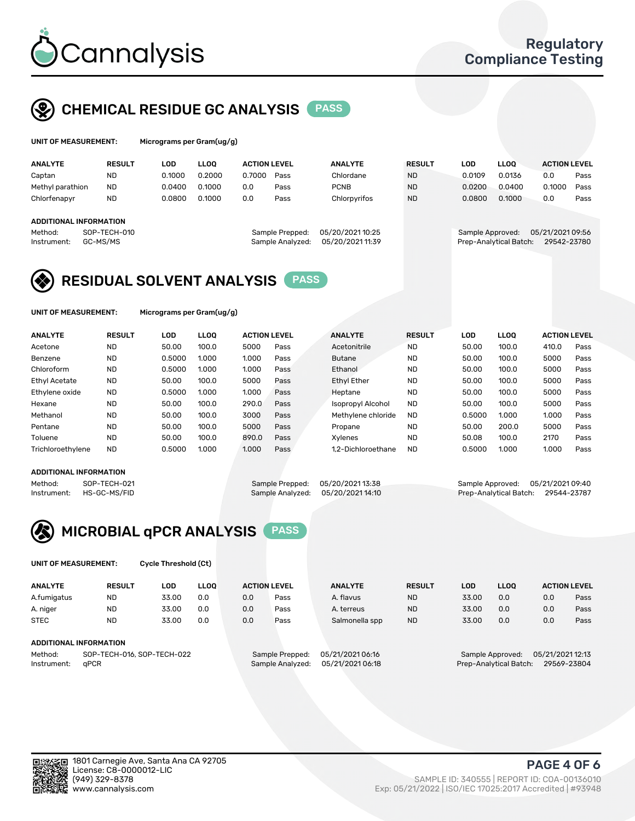

# CHEMICAL RESIDUE GC ANALYSIS PASS

| Microgr |
|---------|
|         |

ams per Gram(ug/g)

| <b>ANALYTE</b>                | <b>RESULT</b>            | LOD    | <b>LLOO</b> | <b>ACTION LEVEL</b> |                                     | <b>ANALYTE</b>                      | <b>RESULT</b> | LOD              | <b>LLOO</b>            | <b>ACTION LEVEL</b>             |      |
|-------------------------------|--------------------------|--------|-------------|---------------------|-------------------------------------|-------------------------------------|---------------|------------------|------------------------|---------------------------------|------|
| Captan                        | <b>ND</b>                | 0.1000 | 0.2000      | 0.7000              | Pass                                | Chlordane                           | <b>ND</b>     | 0.0109           | 0.0136                 | 0.0                             | Pass |
| Methyl parathion              | <b>ND</b>                | 0.0400 | 0.1000      | 0.0                 | Pass                                | <b>PCNB</b>                         | <b>ND</b>     | 0.0200           | 0.0400                 | 0.1000                          | Pass |
| Chlorfenapyr                  | <b>ND</b>                | 0.0800 | 0.1000      | 0.0                 | Pass                                | Chlorpyrifos                        | <b>ND</b>     | 0.0800           | 0.1000                 | 0.0                             | Pass |
|                               |                          |        |             |                     |                                     |                                     |               |                  |                        |                                 |      |
| <b>ADDITIONAL INFORMATION</b> |                          |        |             |                     |                                     |                                     |               |                  |                        |                                 |      |
| Method:<br>Instrument:        | SOP-TECH-010<br>GC-MS/MS |        |             |                     | Sample Prepped:<br>Sample Analyzed: | 05/20/2021 10:25<br>05/20/202111:39 |               | Sample Approved: | Prep-Analytical Batch: | 05/21/2021 09:56<br>29542-23780 |      |
|                               |                          |        |             |                     |                                     |                                     |               |                  |                        |                                 |      |

## RESIDUAL SOLVENT ANALYSIS PASS

UNIT OF MEASUREMENT: Micrograms per Gram(ug/g)

| <b>ANALYTE</b>    | <b>RESULT</b> | LOD    | <b>LLOO</b> | <b>ACTION LEVEL</b> |      | <b>ANALYTE</b>           | <b>RESULT</b> | LOD    | <b>LLOO</b> | <b>ACTION LEVEL</b> |      |
|-------------------|---------------|--------|-------------|---------------------|------|--------------------------|---------------|--------|-------------|---------------------|------|
| Acetone           | <b>ND</b>     | 50.00  | 100.0       | 5000                | Pass | Acetonitrile             | <b>ND</b>     | 50.00  | 100.0       | 410.0               | Pass |
| Benzene           | <b>ND</b>     | 0.5000 | 1.000       | 1.000               | Pass | <b>Butane</b>            | <b>ND</b>     | 50.00  | 100.0       | 5000                | Pass |
| Chloroform        | <b>ND</b>     | 0.5000 | 1.000       | 1.000               | Pass | Ethanol                  | <b>ND</b>     | 50.00  | 100.0       | 5000                | Pass |
| Ethyl Acetate     | <b>ND</b>     | 50.00  | 100.0       | 5000                | Pass | <b>Ethyl Ether</b>       | <b>ND</b>     | 50.00  | 100.0       | 5000                | Pass |
| Ethylene oxide    | <b>ND</b>     | 0.5000 | 1.000       | 1.000               | Pass | Heptane                  | <b>ND</b>     | 50.00  | 100.0       | 5000                | Pass |
| Hexane            | <b>ND</b>     | 50.00  | 100.0       | 290.0               | Pass | <b>Isopropyl Alcohol</b> | <b>ND</b>     | 50.00  | 100.0       | 5000                | Pass |
| Methanol          | <b>ND</b>     | 50.00  | 100.0       | 3000                | Pass | Methylene chloride       | <b>ND</b>     | 0.5000 | 1.000       | 1.000               | Pass |
| Pentane           | <b>ND</b>     | 50.00  | 100.0       | 5000                | Pass | Propane                  | <b>ND</b>     | 50.00  | 200.0       | 5000                | Pass |
| Toluene           | <b>ND</b>     | 50.00  | 100.0       | 890.0               | Pass | Xvlenes                  | <b>ND</b>     | 50.08  | 100.0       | 2170                | Pass |
| Trichloroethylene | <b>ND</b>     | 0.5000 | 1.000       | 1.000               | Pass | 1.2-Dichloroethane       | <b>ND</b>     | 0.5000 | 1.000       | 1.000               | Pass |

### ADDITIONAL INFORMATION

Method: SOP-TECH-021 Sample Prepped: 05/20/2021 13:38 Sample Approved: 05/21/2021 09:40<br>Sample Analyzed: 05/20/2021 14:10 Prep-Analytical Batch: 29544-23787 Prep-Analytical Batch: 29544-23787



UNIT OF MEASUREMENT: Cycle Threshold (Ct)

| <b>ANALYTE</b>                        | <b>RESULT</b>          | LOD   | <b>LLOO</b>      |                  | <b>ACTION LEVEL</b> | <b>ANALYTE</b> | <b>RESULT</b>          | <b>LOD</b>                           | <b>LLOO</b> |     | <b>ACTION LEVEL</b> |
|---------------------------------------|------------------------|-------|------------------|------------------|---------------------|----------------|------------------------|--------------------------------------|-------------|-----|---------------------|
| A.fumigatus                           | <b>ND</b>              | 33.00 | 0.0              | 0.0              | Pass                | A. flavus      | <b>ND</b>              | 33.00                                | 0.0         | 0.0 | Pass                |
| A. niger                              | <b>ND</b>              | 33.00 | 0.0              | 0.0              | Pass                | A. terreus     | <b>ND</b>              | 33.00                                | 0.0         | 0.0 | Pass                |
| <b>STEC</b>                           | <b>ND</b>              | 33.00 | 0.0              | 0.0              | Pass                | Salmonella spp | <b>ND</b>              | 33.00                                | 0.0         | 0.0 | Pass                |
|                                       | ADDITIONAL INFORMATION |       |                  |                  |                     |                |                        |                                      |             |     |                     |
| SOP-TECH-016, SOP-TECH-022<br>Method: |                        |       |                  | Sample Prepped:  | 05/21/2021 06:16    |                |                        | 05/21/2021 12:13<br>Sample Approved: |             |     |                     |
| aPCR<br>Instrument:                   |                        |       | Sample Analyzed: | 05/21/2021 06:18 |                     |                | Prep-Analytical Batch: |                                      | 29569-23804 |     |                     |

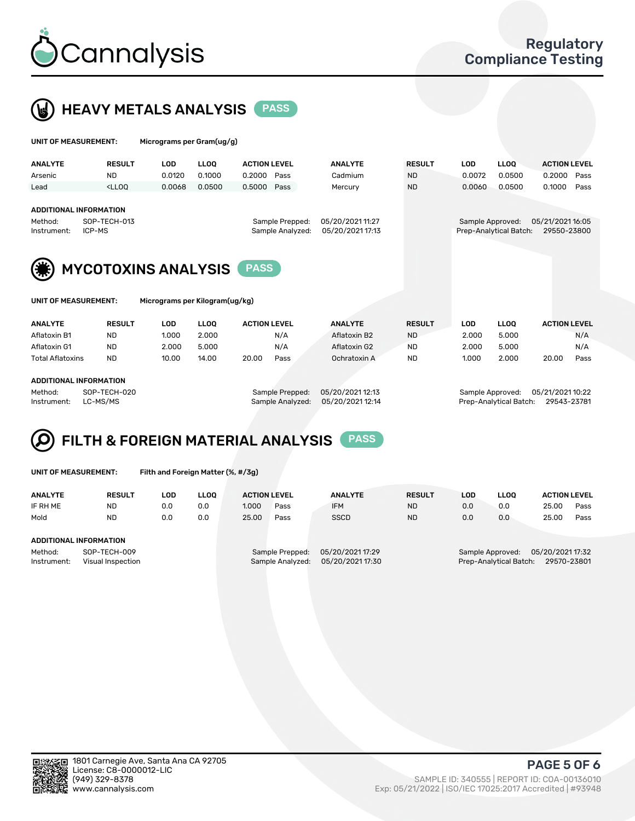



| UNIT OF MEASUREMENT:                                                                                                                                             |                                                                                                                                                                         | Micrograms per Gram(ug/g) |             |                     |                |               |                                                                               |             |                     |      |
|------------------------------------------------------------------------------------------------------------------------------------------------------------------|-------------------------------------------------------------------------------------------------------------------------------------------------------------------------|---------------------------|-------------|---------------------|----------------|---------------|-------------------------------------------------------------------------------|-------------|---------------------|------|
| <b>ANALYTE</b>                                                                                                                                                   | <b>RESULT</b>                                                                                                                                                           | <b>LOD</b>                | <b>LLOO</b> | <b>ACTION LEVEL</b> | <b>ANALYTE</b> | <b>RESULT</b> | <b>LOD</b>                                                                    | <b>LLOO</b> | <b>ACTION LEVEL</b> |      |
| Arsenic                                                                                                                                                          | ND.                                                                                                                                                                     | 0.0120                    | 0.1000      | 0.2000<br>Pass      | Cadmium        | <b>ND</b>     | 0.0072                                                                        | 0.0500      | 0.2000              | Pass |
| Lead                                                                                                                                                             | <lloo< td=""><td>0.0068</td><td>0.0500</td><td>Pass<br/>0.5000</td><td>Mercury</td><td><b>ND</b></td><td>0.0060</td><td>0.0500</td><td>0.1000</td><td>Pass</td></lloo<> | 0.0068                    | 0.0500      | Pass<br>0.5000      | Mercury        | <b>ND</b>     | 0.0060                                                                        | 0.0500      | 0.1000              | Pass |
| <b>ADDITIONAL INFORMATION</b><br>SOP-TECH-013<br>05/20/2021 11:27<br>Method:<br>Sample Prepped:<br>ICP-MS<br>Sample Analyzed:<br>05/20/2021 17:13<br>Instrument: |                                                                                                                                                                         |                           |             |                     |                |               | 05/21/2021 16:05<br>Sample Approved:<br>Prep-Analytical Batch:<br>29550-23800 |             |                     |      |
| <b>MYCOTOXINS ANALYSIS</b><br><b>PASS</b><br>UNIT OF MEASUREMENT:<br>Micrograms per Kilogram(ug/kg)                                                              |                                                                                                                                                                         |                           |             |                     |                |               |                                                                               |             |                     |      |
|                                                                                                                                                                  |                                                                                                                                                                         |                           |             |                     |                |               |                                                                               |             |                     |      |
| <b>ANALYTE</b>                                                                                                                                                   | <b>RESULT</b>                                                                                                                                                           | <b>LOD</b>                | <b>LLOO</b> | <b>ACTION LEVEL</b> | <b>ANALYTE</b> | <b>RESULT</b> | <b>LOD</b>                                                                    | <b>LLOQ</b> | <b>ACTION LEVEL</b> |      |
| Aflatoxin B1                                                                                                                                                     | <b>ND</b>                                                                                                                                                               | 1.000                     | 2.000       | N/A                 | Aflatoxin B2   | <b>ND</b>     | 2.000                                                                         | 5.000       |                     | N/A  |
| Aflatoxin G1                                                                                                                                                     | <b>ND</b>                                                                                                                                                               | 2.000                     | 5.000       | N/A                 | Aflatoxin G2   | <b>ND</b>     | 2.000                                                                         | 5.000       |                     | N/A  |
| <b>Total Aflatoxins</b>                                                                                                                                          | <b>ND</b>                                                                                                                                                               | 10.00                     | 14.00       | 20.00<br>Pass       | Ochratoxin A   | <b>ND</b>     | 1.000                                                                         | 2.000       | 20.00               | Pass |

#### ADDITIONAL INFORMATION

Method: SOP-TECH-020 Sample Prepped: 05/20/2021 12:13 Sample Approved: 05/21/2021 10:22 Instrument: LC-MS/MS Sample Analyzed: 05/20/2021 12:14 Prep-Analytical Batch: 29543-23781

### FILTH & FOREIGN MATERIAL ANALYSIS PASS Q

UNIT OF MEASUREMENT: Filth and Foreign Matter (%, #/3g)

| <b>ANALYTE</b>         | <b>RESULT</b>                     | LOD | <b>LLOO</b> | <b>ACTION LEVEL</b> |                                     | <b>ANALYTE</b>                      | <b>RESULT</b> | LOD | <b>LLOO</b>                                | <b>ACTION LEVEL</b>             |      |
|------------------------|-----------------------------------|-----|-------------|---------------------|-------------------------------------|-------------------------------------|---------------|-----|--------------------------------------------|---------------------------------|------|
| IF RH ME               | <b>ND</b>                         | 0.0 | 0.0         | 1.000               | Pass                                | <b>IFM</b>                          | <b>ND</b>     | 0.0 | 0.0                                        | 25.00                           | Pass |
| Mold                   | <b>ND</b>                         | 0.0 | 0.0         | 25.00               | Pass                                | <b>SSCD</b>                         | <b>ND</b>     | 0.0 | 0.0                                        | 25.00                           | Pass |
| ADDITIONAL INFORMATION |                                   |     |             |                     |                                     |                                     |               |     |                                            |                                 |      |
| Method:<br>Instrument: | SOP-TECH-009<br>Visual Inspection |     |             |                     | Sample Prepped:<br>Sample Analyzed: | 05/20/202117:29<br>05/20/2021 17:30 |               |     | Sample Approved:<br>Prep-Analytical Batch: | 05/20/2021 17:32<br>29570-23801 |      |



PAGE 5 OF 6